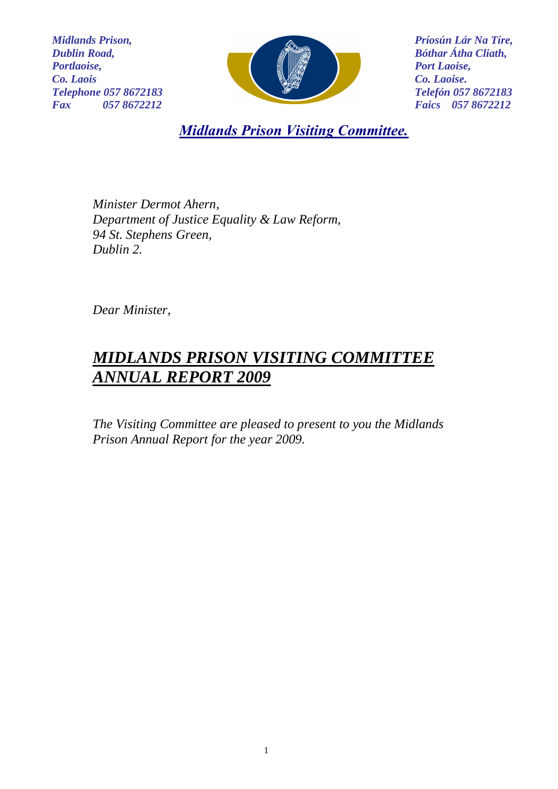*Midlands Prison, Dublin Road, Portlaoise, Co. Laois Telephone 057 8672183 Fax 057 8672212*



*Príosún Lár Na Tíre, Bóthar Átha Cliath, Port Laoise, Co. Laoise. Telefón 057 8672183 Faics 057 8672212*

*Midlands Prison Visiting Committee.*

*Minister Dermot Ahern, Department of Justice Equality & Law Reform, 94 St. Stephens Green, Dublin 2.*

*Dear Minister,*

# *MIDLANDS PRISON VISITING COMMITTEE ANNUAL REPORT 2009*

*The Visiting Committee are pleased to present to you the Midlands Prison Annual Report for the year 2009.*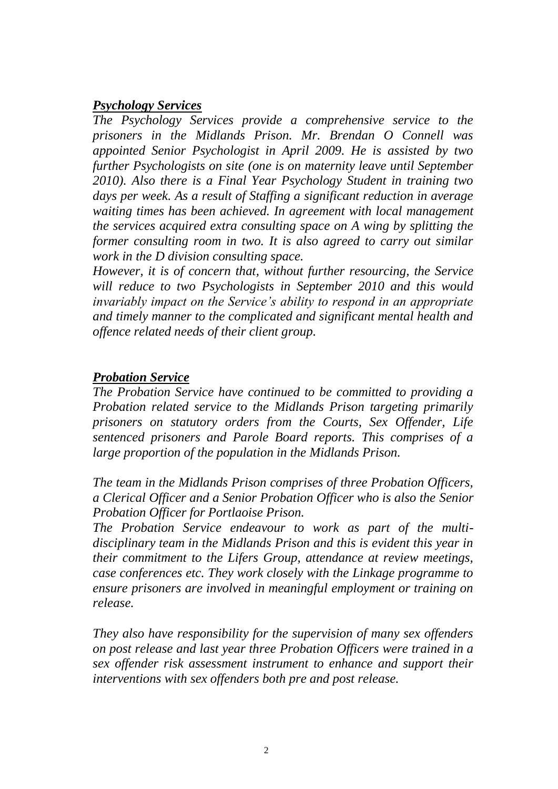#### *Psychology Services*

*The Psychology Services provide a comprehensive service to the prisoners in the Midlands Prison. Mr. Brendan O Connell was appointed Senior Psychologist in April 2009. He is assisted by two further Psychologists on site (one is on maternity leave until September 2010). Also there is a Final Year Psychology Student in training two days per week. As a result of Staffing a significant reduction in average waiting times has been achieved. In agreement with local management the services acquired extra consulting space on A wing by splitting the former consulting room in two. It is also agreed to carry out similar work in the D division consulting space.*

*However, it is of concern that, without further resourcing, the Service will reduce to two Psychologists in September 2010 and this would invariably impact on the Service's ability to respond in an appropriate and timely manner to the complicated and significant mental health and offence related needs of their client group.*

#### *Probation Service*

*The Probation Service have continued to be committed to providing a Probation related service to the Midlands Prison targeting primarily prisoners on statutory orders from the Courts, Sex Offender, Life sentenced prisoners and Parole Board reports. This comprises of a large proportion of the population in the Midlands Prison.*

*The team in the Midlands Prison comprises of three Probation Officers, a Clerical Officer and a Senior Probation Officer who is also the Senior Probation Officer for Portlaoise Prison.* 

*The Probation Service endeavour to work as part of the multidisciplinary team in the Midlands Prison and this is evident this year in their commitment to the Lifers Group, attendance at review meetings, case conferences etc. They work closely with the Linkage programme to ensure prisoners are involved in meaningful employment or training on release.*

*They also have responsibility for the supervision of many sex offenders on post release and last year three Probation Officers were trained in a sex offender risk assessment instrument to enhance and support their interventions with sex offenders both pre and post release.*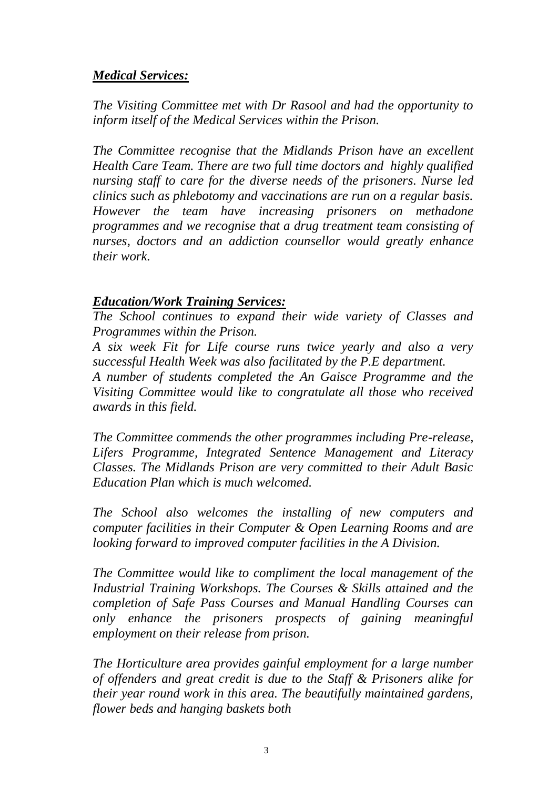# *Medical Services:*

*The Visiting Committee met with Dr Rasool and had the opportunity to inform itself of the Medical Services within the Prison.*

*The Committee recognise that the Midlands Prison have an excellent Health Care Team. There are two full time doctors and highly qualified nursing staff to care for the diverse needs of the prisoners. Nurse led clinics such as phlebotomy and vaccinations are run on a regular basis. However the team have increasing prisoners on methadone programmes and we recognise that a drug treatment team consisting of nurses, doctors and an addiction counsellor would greatly enhance their work.*

# *Education/Work Training Services:*

*The School continues to expand their wide variety of Classes and Programmes within the Prison.*

*A six week Fit for Life course runs twice yearly and also a very successful Health Week was also facilitated by the P.E department.*

*A number of students completed the An Gaisce Programme and the Visiting Committee would like to congratulate all those who received awards in this field.*

*The Committee commends the other programmes including Pre-release, Lifers Programme, Integrated Sentence Management and Literacy Classes. The Midlands Prison are very committed to their Adult Basic Education Plan which is much welcomed.*

*The School also welcomes the installing of new computers and computer facilities in their Computer & Open Learning Rooms and are looking forward to improved computer facilities in the A Division.*

*The Committee would like to compliment the local management of the Industrial Training Workshops. The Courses & Skills attained and the completion of Safe Pass Courses and Manual Handling Courses can only enhance the prisoners prospects of gaining meaningful employment on their release from prison.*

*The Horticulture area provides gainful employment for a large number of offenders and great credit is due to the Staff & Prisoners alike for their year round work in this area. The beautifully maintained gardens, flower beds and hanging baskets both*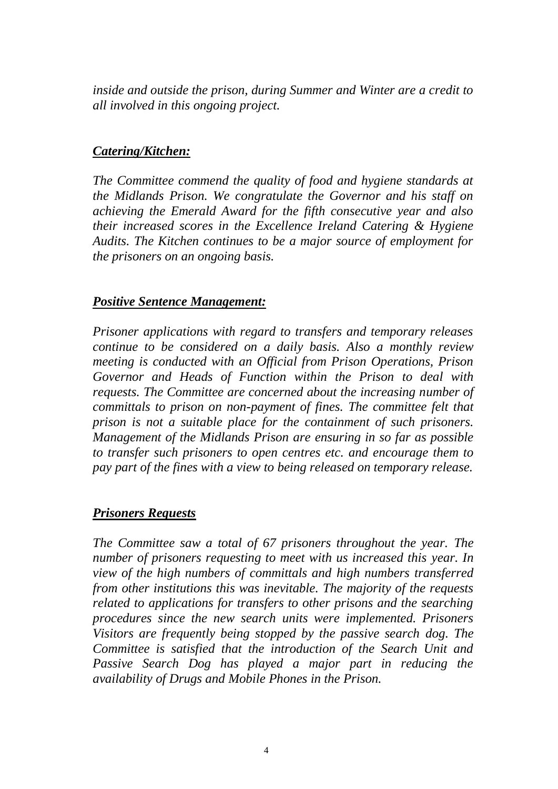*inside and outside the prison, during Summer and Winter are a credit to all involved in this ongoing project.*

# *Catering/Kitchen:*

*The Committee commend the quality of food and hygiene standards at the Midlands Prison. We congratulate the Governor and his staff on achieving the Emerald Award for the fifth consecutive year and also their increased scores in the Excellence Ireland Catering & Hygiene Audits. The Kitchen continues to be a major source of employment for the prisoners on an ongoing basis.*

#### *Positive Sentence Management:*

*Prisoner applications with regard to transfers and temporary releases continue to be considered on a daily basis. Also a monthly review meeting is conducted with an Official from Prison Operations, Prison Governor and Heads of Function within the Prison to deal with requests. The Committee are concerned about the increasing number of committals to prison on non-payment of fines. The committee felt that prison is not a suitable place for the containment of such prisoners. Management of the Midlands Prison are ensuring in so far as possible to transfer such prisoners to open centres etc. and encourage them to pay part of the fines with a view to being released on temporary release.*

# *Prisoners Requests*

*The Committee saw a total of 67 prisoners throughout the year. The number of prisoners requesting to meet with us increased this year. In view of the high numbers of committals and high numbers transferred from other institutions this was inevitable. The majority of the requests related to applications for transfers to other prisons and the searching procedures since the new search units were implemented. Prisoners Visitors are frequently being stopped by the passive search dog. The Committee is satisfied that the introduction of the Search Unit and Passive Search Dog has played a major part in reducing the availability of Drugs and Mobile Phones in the Prison.*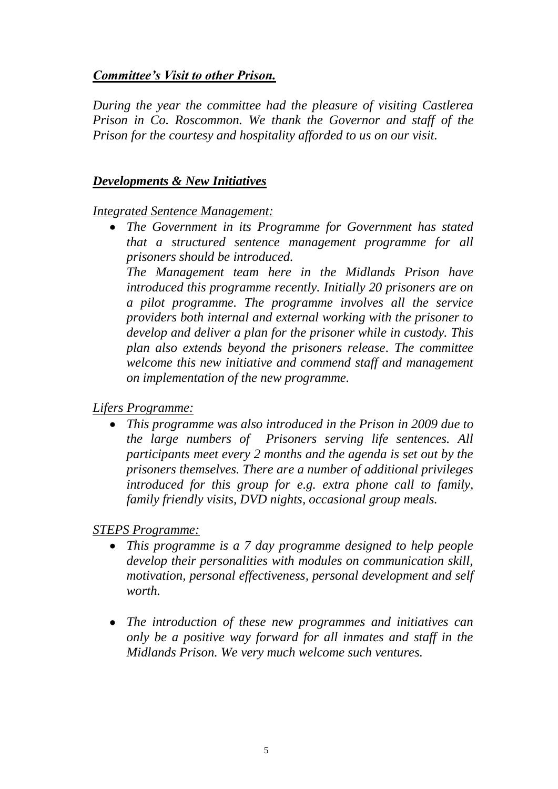# *Committee's Visit to other Prison.*

*During the year the committee had the pleasure of visiting Castlerea Prison in Co. Roscommon. We thank the Governor and staff of the Prison for the courtesy and hospitality afforded to us on our visit.*

#### *Developments & New Initiatives*

#### *Integrated Sentence Management:*

*The Government in its Programme for Government has stated that a structured sentence management programme for all prisoners should be introduced. The Management team here in the Midlands Prison have* 

*introduced this programme recently. Initially 20 prisoners are on a pilot programme. The programme involves all the service providers both internal and external working with the prisoner to develop and deliver a plan for the prisoner while in custody. This plan also extends beyond the prisoners release. The committee welcome this new initiative and commend staff and management on implementation of the new programme.*

# *Lifers Programme:*

*This programme was also introduced in the Prison in 2009 due to the large numbers of Prisoners serving life sentences. All participants meet every 2 months and the agenda is set out by the prisoners themselves. There are a number of additional privileges introduced for this group for e.g. extra phone call to family, family friendly visits, DVD nights, occasional group meals.*

# *STEPS Programme:*

- *This programme is a 7 day programme designed to help people develop their personalities with modules on communication skill, motivation, personal effectiveness, personal development and self worth.*
- *The introduction of these new programmes and initiatives can only be a positive way forward for all inmates and staff in the Midlands Prison. We very much welcome such ventures.*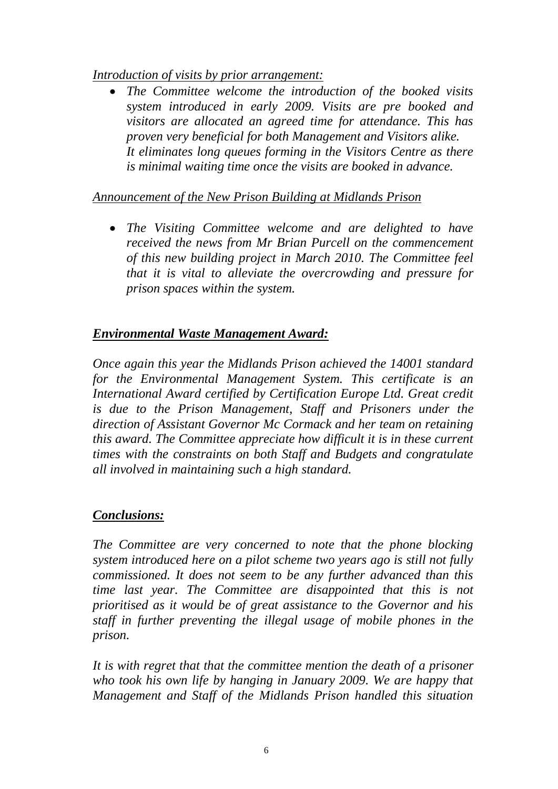*Introduction of visits by prior arrangement:*

*The Committee welcome the introduction of the booked visits system introduced in early 2009. Visits are pre booked and visitors are allocated an agreed time for attendance. This has proven very beneficial for both Management and Visitors alike. It eliminates long queues forming in the Visitors Centre as there is minimal waiting time once the visits are booked in advance.*

# *Announcement of the New Prison Building at Midlands Prison*

*The Visiting Committee welcome and are delighted to have received the news from Mr Brian Purcell on the commencement of this new building project in March 2010. The Committee feel that it is vital to alleviate the overcrowding and pressure for prison spaces within the system.*

# *Environmental Waste Management Award:*

*Once again this year the Midlands Prison achieved the 14001 standard for the Environmental Management System. This certificate is an International Award certified by Certification Europe Ltd. Great credit is due to the Prison Management, Staff and Prisoners under the direction of Assistant Governor Mc Cormack and her team on retaining this award. The Committee appreciate how difficult it is in these current times with the constraints on both Staff and Budgets and congratulate all involved in maintaining such a high standard.*

# *Conclusions:*

*The Committee are very concerned to note that the phone blocking system introduced here on a pilot scheme two years ago is still not fully commissioned. It does not seem to be any further advanced than this time last year. The Committee are disappointed that this is not prioritised as it would be of great assistance to the Governor and his staff in further preventing the illegal usage of mobile phones in the prison.*

*It is with regret that that the committee mention the death of a prisoner who took his own life by hanging in January 2009. We are happy that Management and Staff of the Midlands Prison handled this situation*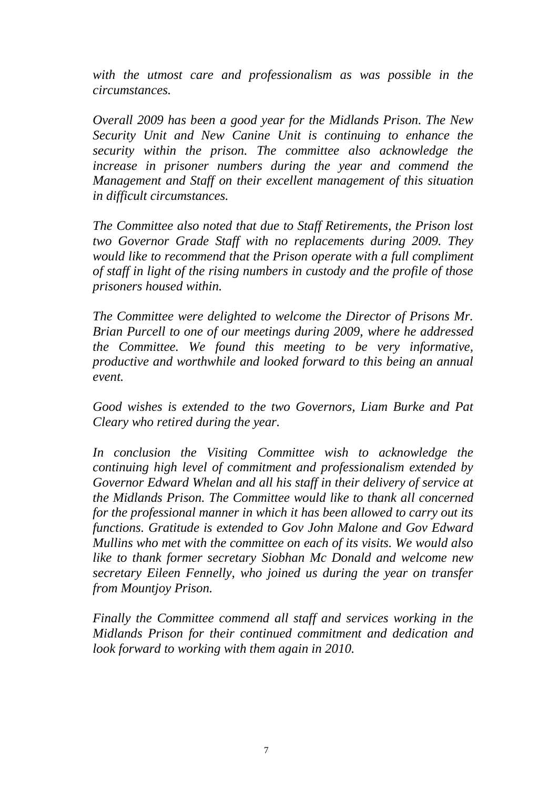*with the utmost care and professionalism as was possible in the circumstances.*

*Overall 2009 has been a good year for the Midlands Prison. The New Security Unit and New Canine Unit is continuing to enhance the security within the prison. The committee also acknowledge the increase in prisoner numbers during the year and commend the Management and Staff on their excellent management of this situation in difficult circumstances.*

*The Committee also noted that due to Staff Retirements, the Prison lost two Governor Grade Staff with no replacements during 2009. They would like to recommend that the Prison operate with a full compliment of staff in light of the rising numbers in custody and the profile of those prisoners housed within.*

*The Committee were delighted to welcome the Director of Prisons Mr. Brian Purcell to one of our meetings during 2009, where he addressed the Committee. We found this meeting to be very informative, productive and worthwhile and looked forward to this being an annual event.*

*Good wishes is extended to the two Governors, Liam Burke and Pat Cleary who retired during the year.*

*In conclusion the Visiting Committee wish to acknowledge the continuing high level of commitment and professionalism extended by Governor Edward Whelan and all his staff in their delivery of service at the Midlands Prison. The Committee would like to thank all concerned for the professional manner in which it has been allowed to carry out its functions. Gratitude is extended to Gov John Malone and Gov Edward Mullins who met with the committee on each of its visits. We would also like to thank former secretary Siobhan Mc Donald and welcome new secretary Eileen Fennelly, who joined us during the year on transfer from Mountjoy Prison.*

*Finally the Committee commend all staff and services working in the Midlands Prison for their continued commitment and dedication and look forward to working with them again in 2010.*